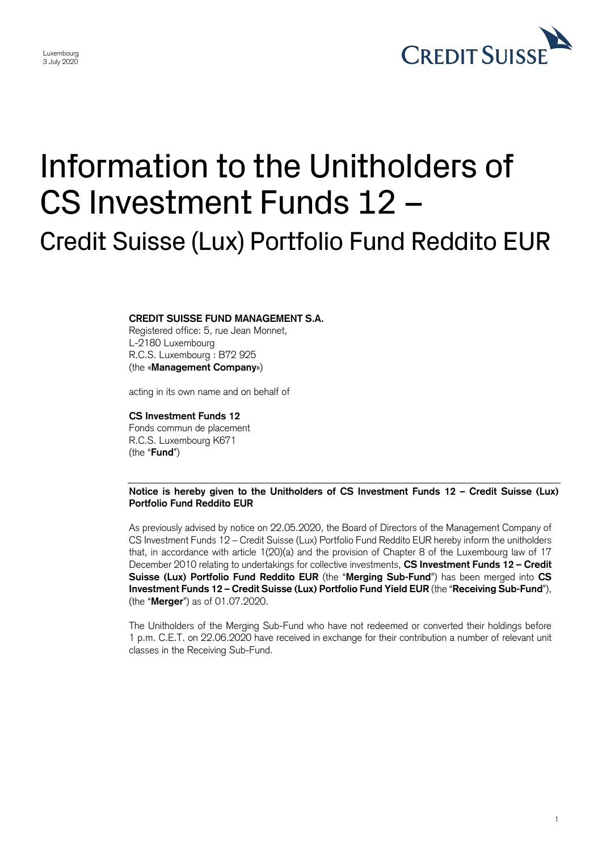

1

## Information to the Unitholders of CS Investment Funds 12 – Credit Suisse (Lux) Portfolio Fund Reddito EUR

## **CREDIT SUISSE FUND MANAGEMENT S.A.**

Registered office: 5, rue Jean Monnet, L-2180 Luxembourg R.C.S. Luxembourg : B72 925 (the «**Management Company**»)

acting in its own name and on behalf of

## **CS Investment Funds 12**

Fonds commun de placement R.C.S. Luxembourg K671 (the "**Fund**")

 **Notice is hereby given to the Unitholders of CS Investment Funds 12 – Credit Suisse (Lux) Portfolio Fund Reddito EUR** 

 As previously advised by notice on 22.05.2020, the Board of Directors of the Management Company of that, in accordance with article 1(20)(a) and the provision of Chapter 8 of the Luxembourg law of 17  December 2010 relating to undertakings for collective investments, **CS Investment Funds 12 – Credit**  CS Investment Funds 12 – Credit Suisse (Lux) Portfolio Fund Reddito EUR hereby inform the unitholders **Suisse (Lux) Portfolio Fund Reddito EUR** (the "**Merging Sub-Fund**") has been merged into **CS Investment Funds 12 – Credit Suisse (Lux) Portfolio Fund Yield EUR** (the "**Receiving Sub-Fund**"), (the "**Merger**") as of 01.07.2020.

 The Unitholders of the Merging Sub-Fund who have not redeemed or converted their holdings before 1 p.m. C.E.T. on 22.06.2020 have received in exchange for their contribution a number of relevant unit classes in the Receiving Sub-Fund.